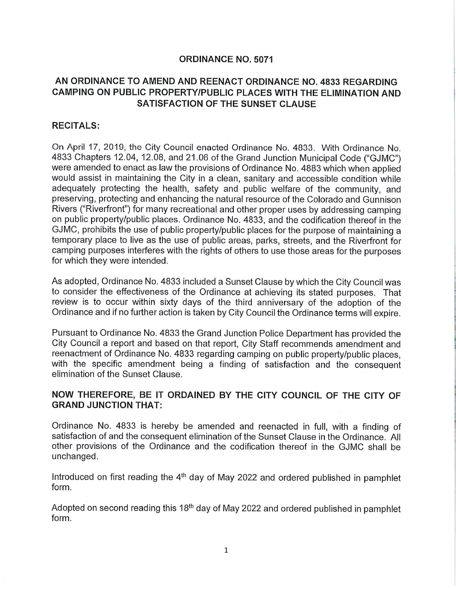## ORDINANCE NO. 5071

## AN ORDINANCE TO AMEND AND REENACT ORDINANCE NO. 4833 REGARDING CAMPING ON PUBLIC PROPERTY/PUBLIC PLACES WITH THE ELIMINATION AND SATISFACTION OF THE SUNSET CLAUSE

## RECITALS:

On April 17, 2019, the City Council enacted Ordinance No. 4833. With Ordinance No. 4833 Chapters 12.04, 12.08, and 21.06 of the Grand Junction Municipal Code ("GJMC") were amended to enact as law the provisions of Ordinance No. 4883 which when applied would assist in maintaining the City in a clean, sanitary and accessible condition while adequately protecting the health, safety and public welfare of the community, and preserving, protecting and enhancing the natural resource of the Colorado and Gunnison Rivers ("Riverfront") for many recreational and other proper uses by addressing camping on public property/public places. Ordinance No. 4833, and the codification thereof in the GJMC, prohibits the use of public property/public places for the purpose of maintaining a temporary place to live as the use of public areas, parks, streets, and the Riverfront for camping purposes interferes with the rights of others to use those areas for the purposes for which they were intended.

As adopted, Ordinance No. 4833 included a Sunset Clause by which the City Council was to consider the effectiveness of the Ordinance at achieving its stated purposes. That review is to occur within sixty days of the third anniversary of the adoption of the Ordinance and if no further action is taken by City Council the Ordinance terms will expire.

Pursuant to Ordinance No. 4833 the Grand Junction Police Department has provided the City Council a report and based on that report, City Staff recommends amendment and reenactment of Ordinance No. 4833 regarding camping on public property/public places, with the specific amendment being a finding of satisfaction and the consequent elimination of the Sunset Clause.

## NOW THEREFORE, BE IT ORDAINED BY THE CITY COUNCIL OF THE CITY OF GRAND JUNCTION THAT:

Ordinance No. 4833 is hereby be amended and reenacted in full, with a finding of satisfaction of and the consequent elimination of the Sunset Clause in the Ordinance. All other provisions of the Ordinance and the codification thereof in the GJMC shall be unchanged.

Introduced on first reading the 4<sup>th</sup> day of May 2022 and ordered published in pamphlet form.

Adopted on second reading this 18<sup>th</sup> day of May 2022 and ordered published in pamphlet form.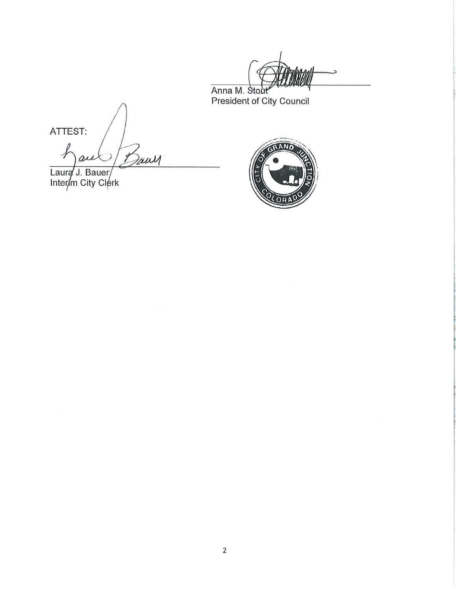Anna M. Stout Working

ATTEST:

Jawy  $\boldsymbol{\psi}$  $\varrho$ 

Laure J. Bauer